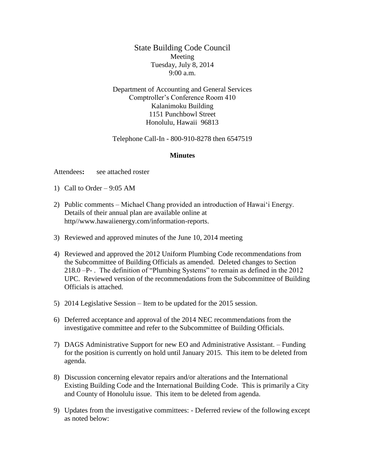State Building Code Council Meeting Tuesday, July 8, 2014 9:00 a.m.

Department of Accounting and General Services Comptroller's Conference Room 410 Kalanimoku Building 1151 Punchbowl Street Honolulu, Hawaii 96813

Telephone Call-In - 800-910-8278 then 6547519

## **Minutes**

Attendees**:** see attached roster

- 1) Call to Order 9:05 AM
- 2) Public comments Michael Chang provided an introduction of Hawai'i Energy. Details of their annual plan are available online at http//www.hawaiienergy.com/information-reports.
- 3) Reviewed and approved minutes of the June 10, 2014 meeting
- 4) Reviewed and approved the 2012 Uniform Plumbing Code recommendations from the Subcommittee of Building Officials as amended. Deleted changes to Section 218.0 –P- . The definition of "Plumbing Systems" to remain as defined in the 2012 UPC. Reviewed version of the recommendations from the Subcommittee of Building Officials is attached.
- 5) 2014 Legislative Session Item to be updated for the 2015 session.
- 6) Deferred acceptance and approval of the 2014 NEC recommendations from the investigative committee and refer to the Subcommittee of Building Officials.
- 7) DAGS Administrative Support for new EO and Administrative Assistant. Funding for the position is currently on hold until January 2015. This item to be deleted from agenda.
- 8) Discussion concerning elevator repairs and/or alterations and the International Existing Building Code and the International Building Code. This is primarily a City and County of Honolulu issue. This item to be deleted from agenda.
- 9) Updates from the investigative committees: Deferred review of the following except as noted below: